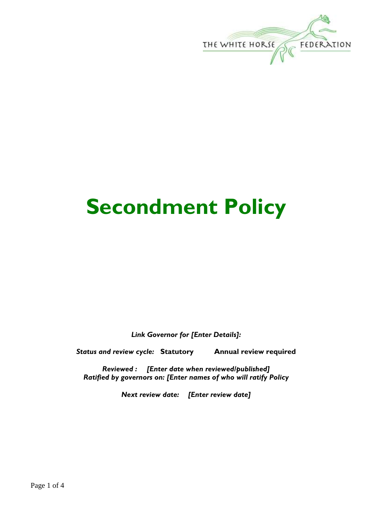

# **Secondment Policy**

*Link Governor for [Enter Details]:*

*Status and review cycle:* **Statutory Annual review required**

*Reviewed : [Enter date when reviewed/published] Ratified by governors on: [Enter names of who will ratify Policy*

*Next review date: [Enter review date]*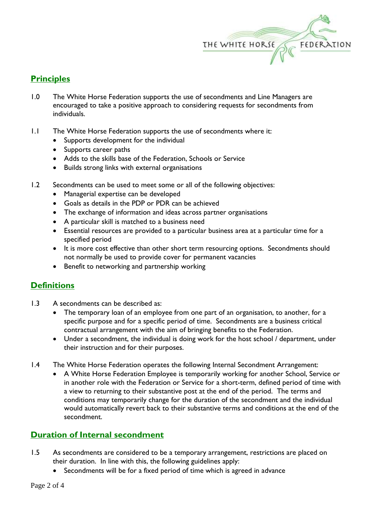

# **Principles**

- 1.0 The White Horse Federation supports the use of secondments and Line Managers are encouraged to take a positive approach to considering requests for secondments from individuals.
- 1.1 The White Horse Federation supports the use of secondments where it:
	- Supports development for the individual
	- Supports career paths
	- Adds to the skills base of the Federation, Schools or Service
	- Builds strong links with external organisations
- 1.2 Secondments can be used to meet some or all of the following objectives:
	- Managerial expertise can be developed
	- Goals as details in the PDP or PDR can be achieved
	- The exchange of information and ideas across partner organisations
	- A particular skill is matched to a business need
	- Essential resources are provided to a particular business area at a particular time for a specified period
	- It is more cost effective than other short term resourcing options. Secondments should not normally be used to provide cover for permanent vacancies
	- Benefit to networking and partnership working

## **Definitions**

- 1.3 A secondments can be described as:
	- The temporary loan of an employee from one part of an organisation, to another, for a specific purpose and for a specific period of time. Secondments are a business critical contractual arrangement with the aim of bringing benefits to the Federation.
	- Under a secondment, the individual is doing work for the host school / department, under their instruction and for their purposes.
- 1.4 The White Horse Federation operates the following Internal Secondment Arrangement:
	- A White Horse Federation Employee is temporarily working for another School, Service or in another role with the Federation or Service for a short-term, defined period of time with a view to returning to their substantive post at the end of the period. The terms and conditions may temporarily change for the duration of the secondment and the individual would automatically revert back to their substantive terms and conditions at the end of the secondment.

## **Duration of Internal secondment**

- 1.5 As secondments are considered to be a temporary arrangement, restrictions are placed on their duration. In line with this, the following guidelines apply:
	- Secondments will be for a fixed period of time which is agreed in advance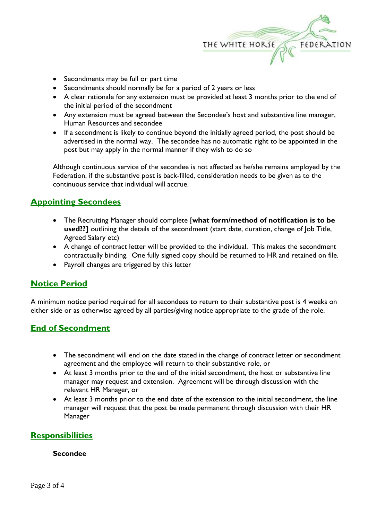

- Secondments may be full or part time
- Secondments should normally be for a period of 2 years or less
- A clear rationale for any extension must be provided at least 3 months prior to the end of the initial period of the secondment
- Any extension must be agreed between the Secondee's host and substantive line manager, Human Resources and secondee
- If a secondment is likely to continue beyond the initially agreed period, the post should be advertised in the normal way. The secondee has no automatic right to be appointed in the post but may apply in the normal manner if they wish to do so

Although continuous service of the secondee is not affected as he/she remains employed by the Federation, if the substantive post is back-filled, consideration needs to be given as to the continuous service that individual will accrue.

## **Appointing Secondees**

- The Recruiting Manager should complete [**what form/method of notification is to be used??]** outlining the details of the secondment (start date, duration, change of Job Title, Agreed Salary etc)
- A change of contract letter will be provided to the individual. This makes the secondment contractually binding. One fully signed copy should be returned to HR and retained on file.
- Payroll changes are triggered by this letter

## **Notice Period**

A minimum notice period required for all secondees to return to their substantive post is 4 weeks on either side or as otherwise agreed by all parties/giving notice appropriate to the grade of the role.

## **End of Secondment**

- The secondment will end on the date stated in the change of contract letter or secondment agreement and the employee will return to their substantive role, or
- At least 3 months prior to the end of the initial secondment, the host or substantive line manager may request and extension. Agreement will be through discussion with the relevant HR Manager, or
- At least 3 months prior to the end date of the extension to the initial secondment, the line manager will request that the post be made permanent through discussion with their HR Manager

## **Responsibilities**

#### **Secondee**